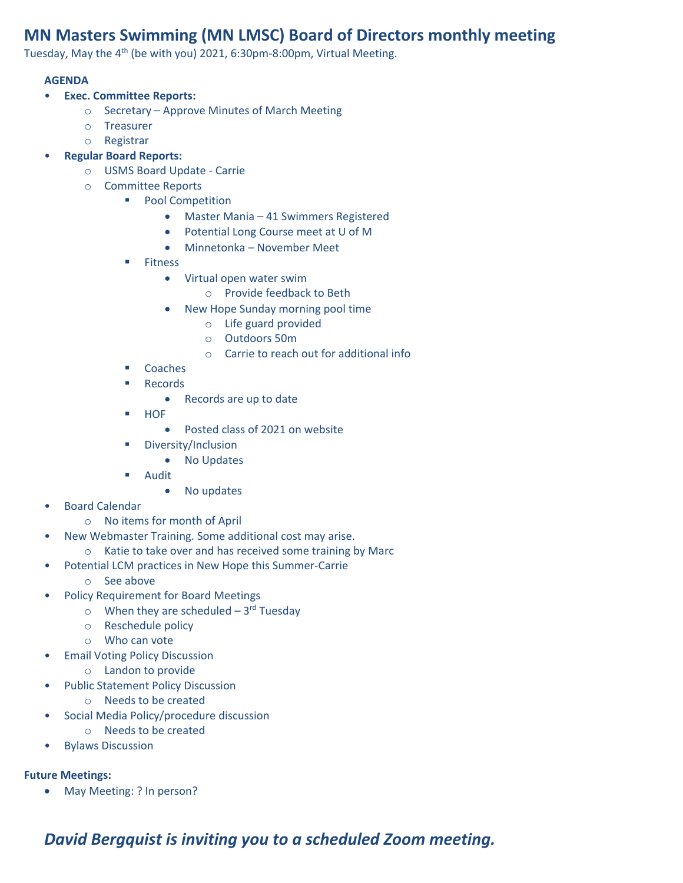## **MN Masters Swimming (MN LMSC) Board of Directors monthly meeting**

Tuesday, May the 4<sup>th</sup> (be with you) 2021, 6:30pm-8:00pm, Virtual Meeting.

## **AGENDA**

- **Exec. Committee Reports:**
	- o Secretary Approve Minutes of March Meeting
	- o Treasurer
	- o Registrar
- **Regular Board Reports:**
	- o USMS Board Update Carrie
	- o Committee Reports
		- Pool Competition
			- Master Mania 41 Swimmers Registered
			- Potential Long Course meet at U of M
			- Minnetonka November Meet
		- **Fitness** 
			- Virtual open water swim
				- o Provide feedback to Beth
			- New Hope Sunday morning pool time
				- o Life guard provided
				- o Outdoors 50m
				- o Carrie to reach out for additional info
		- Coaches
		- **Records** 
			- Records are up to date
		- HOF
			- Posted class of 2021 on website
		- Diversity/Inclusion
			- No Updates
		- **Audit** 
			- No updates
- Board Calendar
	- o No items for month of April
- New Webmaster Training. Some additional cost may arise.
- o Katie to take over and has received some training by Marc
- Potential LCM practices in New Hope this Summer-Carrie
	- o See above
- Policy Requirement for Board Meetings
	- $\circ$  When they are scheduled 3<sup>rd</sup> Tuesday
	- o Reschedule policy
	- o Who can vote
- Email Voting Policy Discussion
	- o Landon to provide
- Public Statement Policy Discussion
	- o Needs to be created
	- Social Media Policy/procedure discussion
		- o Needs to be created
- Bylaws Discussion

## **Future Meetings:**

• May Meeting: ? In person?

## *David Bergquist is inviting you to a scheduled Zoom meeting.*